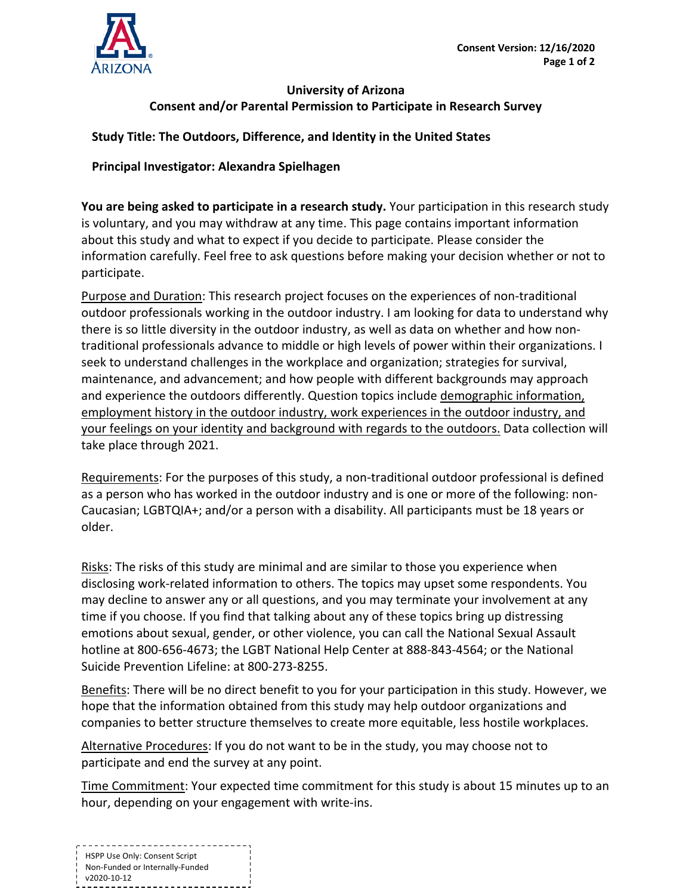

## **University of Arizona Consent and/or Parental Permission to Participate in Research Survey**

## **Study Title: The Outdoors, Difference, and Identity in the United States**

## **Principal Investigator: Alexandra Spielhagen**

**You are being asked to participate in a research study.** Your participation in this research study is voluntary, and you may withdraw at any time. This page contains important information about this study and what to expect if you decide to participate. Please consider the information carefully. Feel free to ask questions before making your decision whether or not to participate.

Purpose and Duration: This research project focuses on the experiences of non-traditional outdoor professionals working in the outdoor industry. I am looking for data to understand why there is so little diversity in the outdoor industry, as well as data on whether and how nontraditional professionals advance to middle or high levels of power within their organizations. I seek to understand challenges in the workplace and organization; strategies for survival, maintenance, and advancement; and how people with different backgrounds may approach and experience the outdoors differently. Question topics include demographic information, employment history in the outdoor industry, work experiences in the outdoor industry, and your feelings on your identity and background with regards to the outdoors. Data collection will take place through 2021.

Requirements: For the purposes of this study, a non-traditional outdoor professional is defined as a person who has worked in the outdoor industry and is one or more of the following: non-Caucasian; LGBTQIA+; and/or a person with a disability. All participants must be 18 years or older.

Risks: The risks of this study are minimal and are similar to those you experience when disclosing work-related information to others. The topics may upset some respondents. You may decline to answer any or all questions, and you may terminate your involvement at any time if you choose. If you find that talking about any of these topics bring up distressing emotions about sexual, gender, or other violence, you can call the National Sexual Assault hotline at 800-656-4673; the LGBT National Help Center at 888-843-4564; or the National Suicide Prevention Lifeline: at 800-273-8255.

Benefits: There will be no direct benefit to you for your participation in this study. However, we hope that the information obtained from this study may help outdoor organizations and companies to better structure themselves to create more equitable, less hostile workplaces.

Alternative Procedures: If you do not want to be in the study, you may choose not to participate and end the survey at any point.

Time Commitment: Your expected time commitment for this study is about 15 minutes up to an hour, depending on your engagement with write-ins.

---------------------------HSPP Use Only: Consent Script Non-Funded or Internally-Funded v2020-10-12